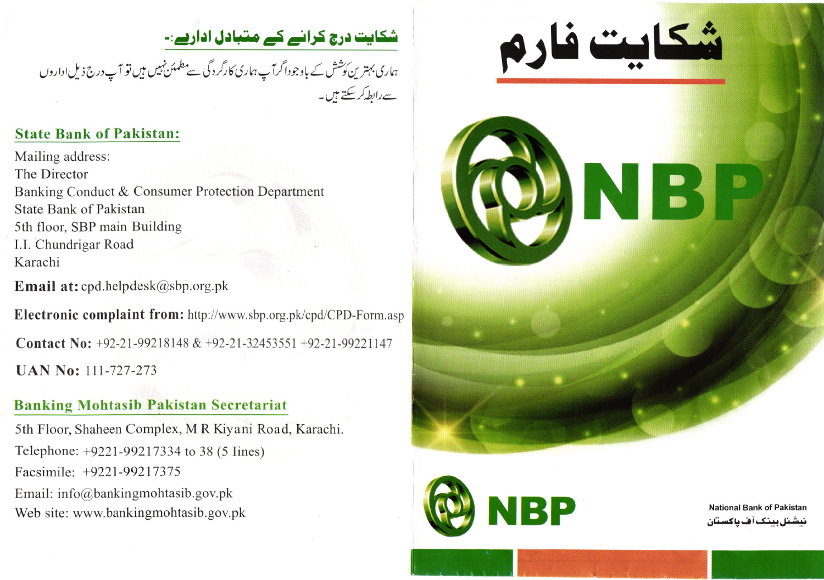## شکایت درج کرانے کے متبادل اداریے:۔

ہاری بہتر ین کوشش کے باوجوداگرآ پ ہماری کارگردگی سے مطمئن نہیں ہیں تو آ پ درج ذیل اداروں ہے رابطہ کر <del>سکتے ہی</del>ں۔

## State Bank of Pakistan:

Mailing address: The Director Banking Conduct & Consumer Protection Department State Bank of Pakistan 5th floor, SBP main Building I.l. Chundrigar Road Karachi

**Email at:** cpd.helpdesk@sbp.org.pk

Electronic complaint from: http://www.sbp.org.pk/cpd/CPD-Form.asp

Contact No:  $+92-21-99218148 \& +92-21-32453551 +92-21-99221147$ UAN No: 111-727-273

## Banking Mohtasib Pakistan Secretariat

5th Floor, Shaheen Complex, M R Kiyani Road, Karachi. Telephone: +9221-99217334 to 38 (5 Iines) Facsimile: +9221-99217375 Email: info@bankingmohtasib.gov.pk Email: info@bankingmontasib.gov.pk<br>نیشنل بینک آف پاکستان National Bank of Pakistan<br>نیشنل بینک آف پاکستان





نیشنل بینک آف یاکستان